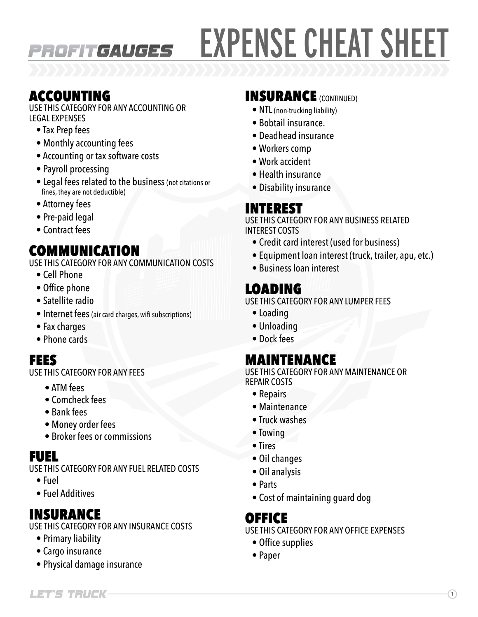# EXPENSE CHEAT SHEET

### ACCOUNTING

USE THIS CATEGORY FOR ANY ACCOUNTING OR LEGAL EXPENSES

PROFITGAUGES

- Tax Prep fees
- Monthly accounting fees
- Accounting or tax software costs
- Payroll processing
- Legal fees related to the business (not citations or fines, they are not deductible)
- Attorney fees
- Pre-paid legal
- Contract fees

# COMMUNICATION

USE THIS CATEGORY FOR ANY COMMUNICATION COSTS

- Cell Phone
- Office phone
- Satellite radio
- Internet fees (air card charges, wifi subscriptions)
- Fax charges
- Phone cards

#### FEES

USE THIS CATEGORY FOR ANY FEES

- ATM fees
- Comcheck fees
- Bank fees
- Money order fees
- Broker fees or commissions

# FUEL

USE THIS CATEGORY FOR ANY FUEL RELATED COSTS

- Fuel
- Fuel Additives

# INSURANCE

USE THIS CATEGORY FOR ANY INSURANCE COSTS

- Primary liability
- Cargo insurance
- Physical damage insurance

## INSURANCE (CONTINUED)

- NTL (non-trucking liability)
- Bobtail insurance.
- Deadhead insurance
- Workers comp
- Work accident
- Health insurance
- Disability insurance

# INTEREST

USE THIS CATEGORY FOR ANY BUSINESS RELATED INTEREST COSTS

- Credit card interest (used for business)
- Equipment loan interest (truck, trailer, apu, etc.)
- Business loan interest

# LOADING

USE THIS CATEGORY FOR ANY LUMPER FEES

- Loading
- Unloading
- Dock fees

# MAINTENANCE

USE THIS CATEGORY FOR ANY MAINTENANCE OR REPAIR COSTS

- Repairs
- Maintenance
- Truck washes
- Towing
- Tires
- Oil changes
- Oil analysis
- Parts
- Cost of maintaining guard dog

#### OFFICE

USE THIS CATEGORY FOR ANY OFFICE EXPENSES

- Office supplies
- Paper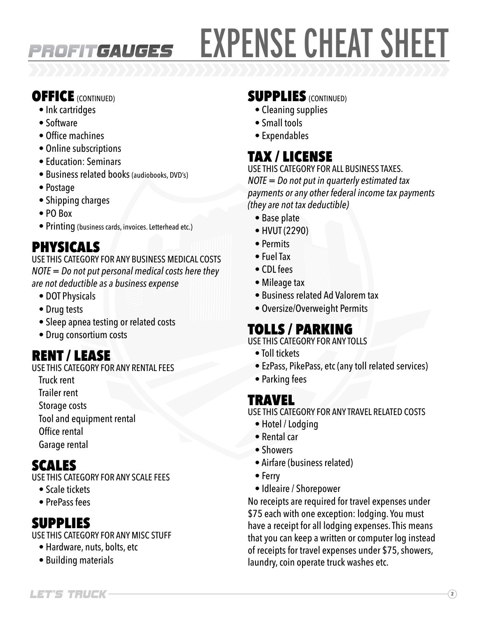# EXPENSE CHEAT SHEET

# OFFICE (CONTINUED)

- Ink cartridges
- Software
- Office machines
- Online subscriptions
- Education: Seminars
- Business related books (audiobooks, DVD's)

**PROFITGAUGES** 

- Postage
- Shipping charges
- PO Box
- Printing (business cards, invoices. Letterhead etc.)

# PHYSICALS

USE THIS CATEGORY FOR ANY BUSINESS MEDICAL COSTS *NOTE = Do not put personal medical costs here they are not deductible as a business expense*

- DOT Physicals
- Drug tests
- Sleep apnea testing or related costs
- Drug consortium costs

# RENT / LEASE

- USE THIS CATEGORY FOR ANY RENTAL FEES
	- Truck rent
	- Trailer rent
	- Storage costs
	- Tool and equipment rental
	- Office rental
	- Garage rental

# SCALES

USE THIS CATEGORY FOR ANY SCALE FEES

- Scale tickets
- PrePass fees

# SUPPLIES

USE THIS CATEGORY FOR ANY MISC STUFF

- Hardware, nuts, bolts, etc
- Building materials

#### **SUPPLIES** (CONTINUED)

- Cleaning supplies
- Small tools
- Expendables

# TAX / LICENSE

USE THIS CATEGORY FOR ALL BUSINESS TAXES. *NOTE = Do not put in quarterly estimated tax payments or any other federal income tax payments (they are not tax deductible)*

- Base plate
- HVUT (2290)
- Permits
- Fuel Tax
- CDL fees
- Mileage tax
- Business related Ad Valorem tax
- Oversize/Overweight Permits

# TOLLS / PARKING

USE THIS CATEGORY FOR ANY TOLLS

- Toll tickets
- EzPass, PikePass, etc (any toll related services)
- Parking fees

#### TRAVEL

USE THIS CATEGORY FOR ANY TRAVEL RELATED COSTS

- Hotel / Lodging
- Rental car
- Showers
- Airfare (business related)
- Ferry
- Idleaire / Shorepower

No receipts are required for travel expenses under \$75 each with one exception: lodging. You must have a receipt for all lodging expenses. This means that you can keep a written or computer log instead of receipts for travel expenses under \$75, showers, laundry, coin operate truck washes etc.